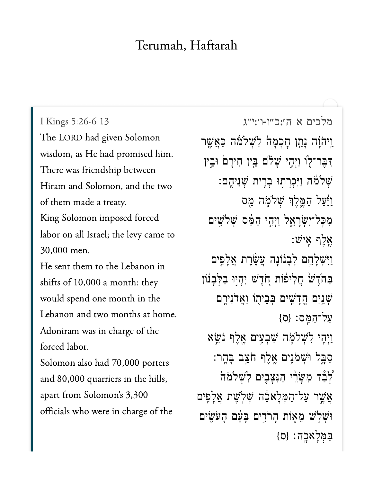## Terumah, Haftarah

[מלכים א ה׳:כ״ו-ו׳:י״ג](https://www.sefaria.org/I%20Kings%205:26-6:13) 5:26-6:13 Kings I I Kings 5:26-6:13 The LORD had given Solomon There was friendship betweenThere was friendship between Hiram and Solomon, and the two of them made a treaty. King Solomon imposed forced labor on all Israel; the levy came to  $30,000$  men. He sent them to the Lebanon in shifts of  $10,000$  a month: they would spend one month in the Lebanon and two months at home. Adoniram was in charge of the forced labor. Solomon also had 70,000 porters and 80,000 quarriers in the hills, apart from Solomon's 3,300 officials who were in charge of the

וַיהֹוָה נְתַן חָכְמָה לִשְׁלֹמֹה כַּאֲשֶׁר דִּבֵר־לְוֹ וַיְהֵי שֲׁלֹם בֵּין חִירַם וּבֵין ֿשלֹמֹ*ּה* וַיִּכְרְתְוּ בְרֵית שָׁנֵיְהֱם: וַיַּּעֲל הַמֱלֵךְ שִׁלֹמָה מֵס מְכַל־יְשָׂרַאֱל וַיְהֵי הַמֵּׂם שְׁלֹשֵׁים  $:$ יש $\aleph$  אֵלף  $\aleph$ וַיִּּשְׁלָחֵם לְבְנוֹנָה עֲשֶׂרֶת אֲלְפֶים ּבַחֹׂדֶשׁׁ חֲלִיפוֹת חָדֶשׁ יִהְיִוּ בַלְּבָנוֹן ְּשְׁנַיִּם הֲדָשִׁים בִּבֵיתָוֹ וַאֲדֹנִירֶם  ${S}$ על־המס:  ${O}$ וַיִּהֵי לְ**שִׁלֹמֶה שִׁבְעִים אֱלֶף נֹשֵׂא** ְּכַבְּל וּּשָׁמֹנֵים אֱלֶף חֹצֵב בַּהֲר: ֿלְבָֿד מְשַׂרֵי הַנִּצַּבֵים לְ**שְׁלֹמֹה** אֲשֶׁר עַל־הַמְּלְא<sub>ּ</sub>בָה שְׁלְשֵׁת אֲלַפִּים וּשָׁלְשׁ מֵאָוֹת הַרֹדֵים בַּעַּם הַעֹּשֵׂים  ${S}$ בּמֶלְאָכָה: {ס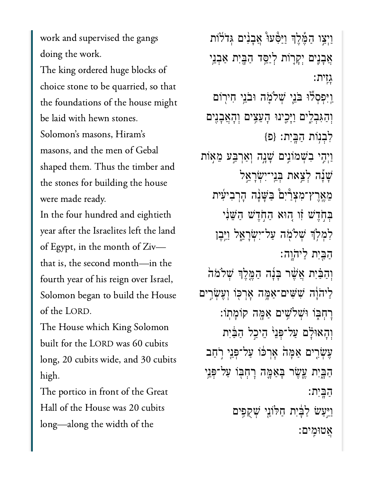work and supervised the gangs doing the work. doing the work.<br>The king ordered huge blocks of

choice stone to be quarried, so that the foundations of the house might be laid with hewn stones. Solomon's masons, Hiram's masons, and the men of Gebal shaped them. Thus the timber and the stones for building the house were made ready.

In the four hundred and eightieth<br>vear after the Israelites left the land year after the Israelites left the land of Egypt, in the month of Ziv- $\frac{1}{\pi}$ fourth  $\begin{bmatrix} 1 & 1 & 1 \end{bmatrix}$  referred,  $\begin{bmatrix} 1 & 1 \end{bmatrix}$ fourth year of his reign over Israel, Solomon began to build the House of the LORD.

The House which King Solomon built for the LORD was 60 cubits long, 20 cubits wide, and 30 cubits  $\sigma$ 

The portico in front of the Great Hall of the House was 20 cubits long-along the width of the

וַיִצַו הַמֶּלֵךְ וַיַּפָּעוּ אֲבָנִים גִּדֹלֹוֹת ְאֲבָנֶיִם יִקְרָוֹת לְיַסֵּ֣ד הַבָּיִת אַבְנֵי ָגִֽזית׃ וַיִּפְסִלּוּ בֹּנֵי *שִׁ*לֹמֶֽה וּבֹנֵי חִירִוֹם וְהַגִּבְלִים וַיָּכֵינוּ הָעֵצִים וְהָאֲבָנִים  $\{$ כְּבְנִוֹת הַבֵּיִת: {פ ַוְיָהִי בִשְׁמֹוֹנִים שָׁנָה וְאַרְבַּע מֵאָוֹת ָׁשָ֡נה ְלֵ֣צאת ְּבֵֽני־ִיְׂשָרֵ֣אל ֵמֶֽאֶרץ־ִמְצַ֩רִי֩ם ַּבָּׁשָ֨נה ָהְרִביִ֜עית בְּחָדָשׁ זו הוּא הַחְדֵשׁ הַשֵּׁנִי לִמְלְךְ שִׁלֹמְה עַל־יִשְׂרָאֶל וַיִּבֶן ַהַּ֖בִית ַלי ֹה ָֽוֹהָֽוה׃ וְהַבִּ֫יִת אֲשֶׁר בָּנָۢה הַמֶּלֶךְ שְׁלֹמֹה לִיהֹוָּׁה שִׁשִּׁים־אַמֶּה אָרִכְּוֹ וְעֵשְׂרֵים ׇרְחּ֑בֹו ּוְׁשֹלִׁ֥שים ַאָּ֖מה קֹוָמֽתֹו׃ וְהָאוּלָם עַל־פָּנֵי הֵיכֵל הַבִּיִת ַעֲשְׂרִים אַמָּהׂ אָרְכֹו עַל־פְּנֵי רְחַב ַהַבֵּיִת עֱשֶׂר בְּאַמֱה רְחָבְּוֹ עַל־פְּנֵי ַהָּֽבִית׃ וַיַּעַשׂ לַבָּ֫יִת חַלּוֹנֵי שִׁקְפִים ֲאטּוִֽמים׃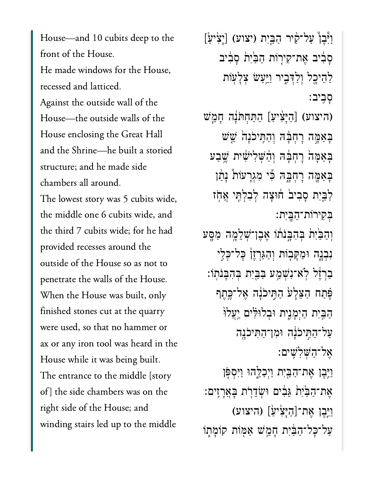House—and 10 cubits deep to the front of the House. He made windows for the House, recessed and latticed. Against the outside wall of the House—the outside walls of the House enclosing the Great Hall and the Shrine-he built a storied structure; and he made side chambers all around. The lowest story was 5 cubits wide, the middle one 6 cubits wide, and the third 7 cubits wide: for he had the third 7 cubits wide; for he had provided recesses around the outside of the House so as not to penetrate the walls of the House. When the House was built, only finished stones cut at the quarry were used, so that no hammer or ax or any iron tool was heard in the House while it was being built. The entrance to the middle [story] of] the side chambers was on the right side of the House; and winding stairs led up to the middle

וַיְּבֵן עַל־קִיר הַבֵּיִת (יצוע) [יָצִיעַׂ] ְסַבְרֹב אֱת־קִירְוֹת הַבַּׂיָת סַבְרֹב ַלְהֵיכָל וְלַדְּבִיר וַיַּעַשׂ צָלָע<mark>ׂות</mark> ָסִבִיב (היצוע) [הַיָּצִיעַ] הַתַּחִתּׂנָה חָמֱשׁ ּבָאַמֶּה רָחְבָּה וְהַתְּיכֹנָה ֹשֵׁשׁ ַּבָאַמָּה רְחָבָּה וְהָ**שִׁלְי**ּשִׁית שֵׁבַע ַּבְאַמֶּה רָחָבָהּ כִּי מְגְרָעֹוֹת נָתַן ַלַּבְּיָת סָבִיבו חוֹצָה לְבִלְתֶּי אֲחָז ְּבִקירֹות־ַהָּֽבִית׃ וְהַבֵּ<sup>יָ</sup>ת ִבְּהִבְּנֹתוֹ אֶבֶן־שְׁלֵמֶֽה ַמַּםֶּע ּנְבְנֶה וּמַקָּבְוֹת וְהַגַּרְזֵן כָּל־כִּלִי ַבְרְזֶל לְאִ־נִשְׁמֻע ּבַּבֵּיִת בִּהְבָּנֹתְוֹ: ֶּפֶּתַח הַצֶּלַעֹּ הַתֵּיכֹּנָה אֱל־כֱתֵף הַבֵּיִת הַיִּמֲנֵית וּבִלוּלִּים יַעֲלוֹ ּעֲל־הַחֲיִכֹּנָה וּמְן־הַתְּיכֹנֵה ֶאל־ַהְּׁשִלִֽׁשים׃ ַוְיֶּבֶן אֶת־הַבֵּיִת וַיִּכְלֶהוּ וַיִּסְפָּן ָאֶת־הַבַּיִת גֵּבִים וּשְׂדֵרֻת בְּאֲרָזִים: ַיִּיִּבְיָת גַּבִּיִם וּשְׂדֵרְת בְּ<br>אֶת־הַבַּׂיִת גַּבִים וּשְׂדֵרְת בָּ<br>[יֶּבֶן אֶת־[הַיְּצִיעַ] (היצוע) ַעֲל־כָּל־הַבַּ֫יִת חָמֵשׁ אַמְּוֹת קוֹמָתְוֹ